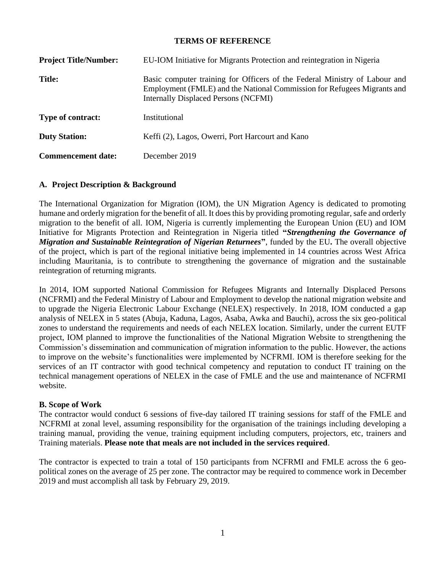#### **TERMS OF REFERENCE**

| <b>Project Title/Number:</b> | EU-IOM Initiative for Migrants Protection and reintegration in Nigeria                                                                                                                               |  |  |
|------------------------------|------------------------------------------------------------------------------------------------------------------------------------------------------------------------------------------------------|--|--|
| <b>Title:</b>                | Basic computer training for Officers of the Federal Ministry of Labour and<br>Employment (FMLE) and the National Commission for Refugees Migrants and<br><b>Internally Displaced Persons (NCFMI)</b> |  |  |
| <b>Type of contract:</b>     | Institutional                                                                                                                                                                                        |  |  |
| <b>Duty Station:</b>         | Keffi (2), Lagos, Owerri, Port Harcourt and Kano                                                                                                                                                     |  |  |
| <b>Commencement date:</b>    | December 2019                                                                                                                                                                                        |  |  |

## **A. Project Description & Background**

The International Organization for Migration (IOM), the UN Migration Agency is dedicated to promoting humane and orderly migration for the benefit of all. It does this by providing promoting regular, safe and orderly migration to the benefit of all. IOM, Nigeria is currently implementing the European Union (EU) and IOM Initiative for Migrants Protection and Reintegration in Nigeria titled **"***Strengthening the Governance of Migration and Sustainable Reintegration of Nigerian Returnees***"**, funded by the EU**.** The overall objective of the project, which is part of the regional initiative being implemented in 14 countries across West Africa including Mauritania, is to contribute to strengthening the governance of migration and the sustainable reintegration of returning migrants.

In 2014, IOM supported National Commission for Refugees Migrants and Internally Displaced Persons (NCFRMI) and the Federal Ministry of Labour and Employment to develop the national migration website and to upgrade the Nigeria Electronic Labour Exchange (NELEX) respectively. In 2018, IOM conducted a gap analysis of NELEX in 5 states (Abuja, Kaduna, Lagos, Asaba, Awka and Bauchi), across the six geo-political zones to understand the requirements and needs of each NELEX location. Similarly, under the current EUTF project, IOM planned to improve the functionalities of the National Migration Website to strengthening the Commission's dissemination and communication of migration information to the public. However, the actions to improve on the website's functionalities were implemented by NCFRMI. IOM is therefore seeking for the services of an IT contractor with good technical competency and reputation to conduct IT training on the technical management operations of NELEX in the case of FMLE and the use and maintenance of NCFRMI website.

#### **B. Scope of Work**

The contractor would conduct 6 sessions of five-day tailored IT training sessions for staff of the FMLE and NCFRMI at zonal level, assuming responsibility for the organisation of the trainings including developing a training manual, providing the venue, training equipment including computers, projectors, etc, trainers and Training materials. **Please note that meals are not included in the services required**.

The contractor is expected to train a total of 150 participants from NCFRMI and FMLE across the 6 geopolitical zones on the average of 25 per zone. The contractor may be required to commence work in December 2019 and must accomplish all task by February 29, 2019.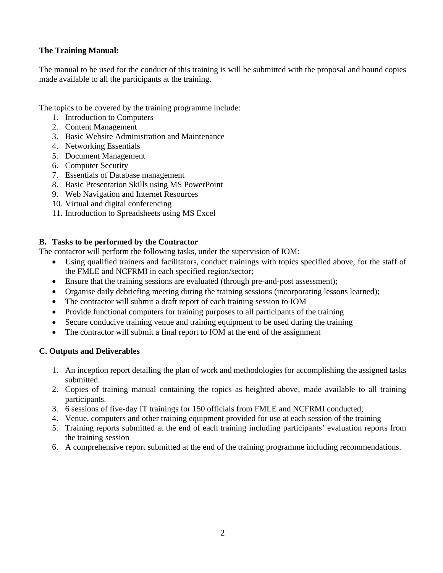# **The Training Manual:**

The manual to be used for the conduct of this training is will be submitted with the proposal and bound copies made available to all the participants at the training.

The topics to be covered by the training programme include:

- 1. Introduction to Computers
- 2. Content Management
- 3. Basic Website Administration and Maintenance
- 4. Networking Essentials
- 5. Document Management
- 6. Computer Security
- 7. Essentials of Database management
- 8. Basic Presentation Skills using MS PowerPoint
- 9. Web Navigation and Internet Resources
- 10. Virtual and digital conferencing
- 11. Introduction to Spreadsheets using MS Excel

## **B. Tasks to be performed by the Contractor**

The contactor will perform the following tasks, under the supervision of IOM:

- Using qualified trainers and facilitators, conduct trainings with topics specified above, for the staff of the FMLE and NCFRMI in each specified region/sector;
- Ensure that the training sessions are evaluated (through pre-and-post assessment);
- Organise daily debriefing meeting during the training sessions (incorporating lessons learned);
- The contractor will submit a draft report of each training session to IOM
- Provide functional computers for training purposes to all participants of the training
- Secure conducive training venue and training equipment to be used during the training
- The contractor will submit a final report to IOM at the end of the assignment

## **C. Outputs and Deliverables**

- 1. An inception report detailing the plan of work and methodologies for accomplishing the assigned tasks submitted.
- 2. Copies of training manual containing the topics as heighted above, made available to all training participants.
- 3. 6 sessions of five-day IT trainings for 150 officials from FMLE and NCFRMI conducted;
- 4. Venue, computers and other training equipment provided for use at each session of the training
- 5. Training reports submitted at the end of each training including participants' evaluation reports from the training session
- 6. A comprehensive report submitted at the end of the training programme including recommendations.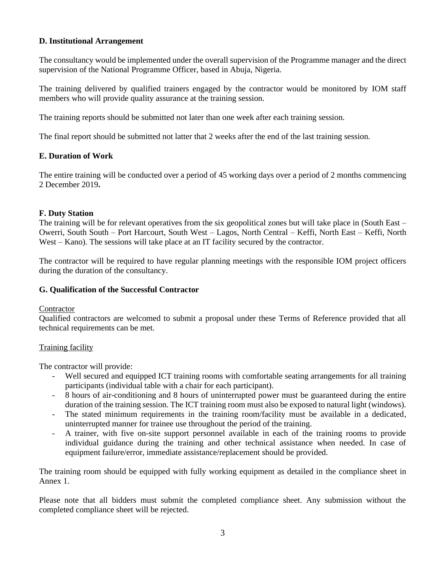### **D. Institutional Arrangement**

The consultancy would be implemented under the overall supervision of the Programme manager and the direct supervision of the National Programme Officer, based in Abuja, Nigeria.

The training delivered by qualified trainers engaged by the contractor would be monitored by IOM staff members who will provide quality assurance at the training session.

The training reports should be submitted not later than one week after each training session.

The final report should be submitted not latter that 2 weeks after the end of the last training session.

#### **E. Duration of Work**

The entire training will be conducted over a period of 45 working days over a period of 2 months commencing 2 December 2019**.**

#### **F. Duty Station**

The training will be for relevant operatives from the six geopolitical zones but will take place in (South East – Owerri, South South – Port Harcourt, South West – Lagos, North Central – Keffi, North East – Keffi, North West – Kano). The sessions will take place at an IT facility secured by the contractor.

The contractor will be required to have regular planning meetings with the responsible IOM project officers during the duration of the consultancy.

#### **G. Qualification of the Successful Contractor**

#### **Contractor**

Qualified contractors are welcomed to submit a proposal under these Terms of Reference provided that all technical requirements can be met.

#### Training facility

The contractor will provide:

- Well secured and equipped ICT training rooms with comfortable seating arrangements for all training participants (individual table with a chair for each participant).
- 8 hours of air-conditioning and 8 hours of uninterrupted power must be guaranteed during the entire duration of the training session. The ICT training room must also be exposed to natural light (windows).
- The stated minimum requirements in the training room/facility must be available in a dedicated, uninterrupted manner for trainee use throughout the period of the training.
- A trainer, with five on-site support personnel available in each of the training rooms to provide individual guidance during the training and other technical assistance when needed. In case of equipment failure/error, immediate assistance/replacement should be provided.

The training room should be equipped with fully working equipment as detailed in the compliance sheet in Annex 1.

Please note that all bidders must submit the completed compliance sheet. Any submission without the completed compliance sheet will be rejected.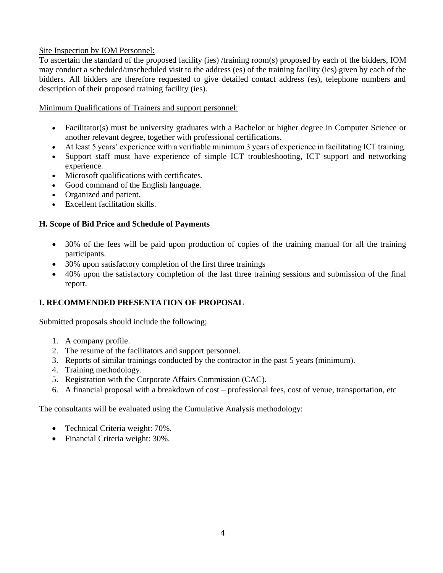# Site Inspection by IOM Personnel:

To ascertain the standard of the proposed facility (ies) /training room(s) proposed by each of the bidders, IOM may conduct a scheduled/unscheduled visit to the address (es) of the training facility (ies) given by each of the bidders. All bidders are therefore requested to give detailed contact address (es), telephone numbers and description of their proposed training facility (ies).

# Minimum Qualifications of Trainers and support personnel:

- Facilitator(s) must be university graduates with a Bachelor or higher degree in Computer Science or another relevant degree, together with professional certifications.
- At least 5 years' experience with a verifiable minimum 3 years of experience in facilitating ICT training.
- Support staff must have experience of simple ICT troubleshooting, ICT support and networking experience.
- Microsoft qualifications with certificates.
- Good command of the English language.
- Organized and patient.
- Excellent facilitation skills.

# **H. Scope of Bid Price and Schedule of Payments**

- 30% of the fees will be paid upon production of copies of the training manual for all the training participants.
- 30% upon satisfactory completion of the first three trainings
- 40% upon the satisfactory completion of the last three training sessions and submission of the final report.

# **I. RECOMMENDED PRESENTATION OF PROPOSAL**

Submitted proposals should include the following;

- 1. A company profile.
- 2. The resume of the facilitators and support personnel.
- 3. Reports of similar trainings conducted by the contractor in the past 5 years (minimum).
- 4. Training methodology.
- 5. Registration with the Corporate Affairs Commission (CAC).
- 6. A financial proposal with a breakdown of cost professional fees, cost of venue, transportation, etc

The consultants will be evaluated using the Cumulative Analysis methodology:

- Technical Criteria weight: 70%.
- Financial Criteria weight: 30%.